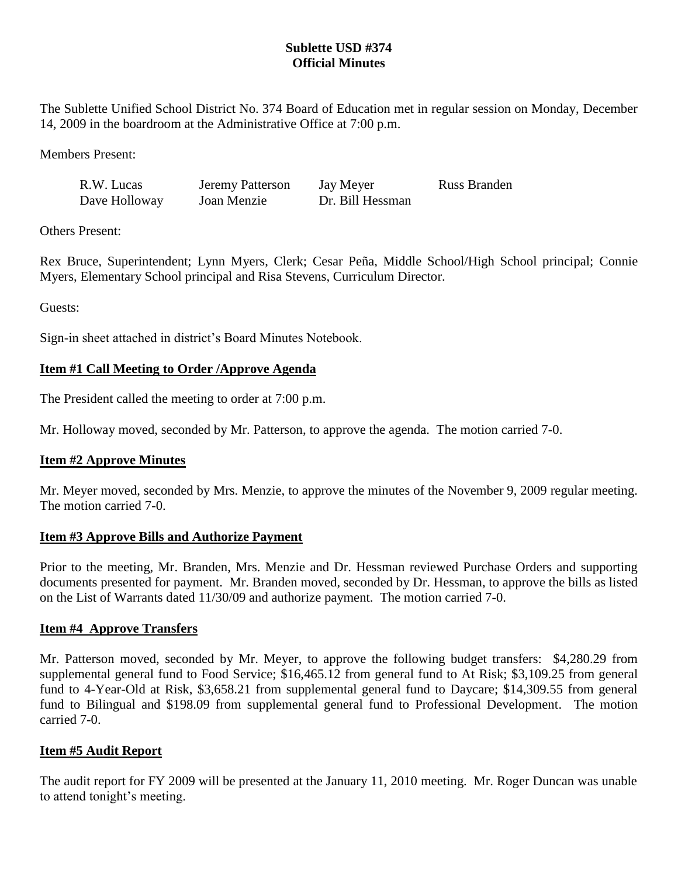## **Sublette USD #374 Official Minutes**

The Sublette Unified School District No. 374 Board of Education met in regular session on Monday, December 14, 2009 in the boardroom at the Administrative Office at 7:00 p.m.

Members Present:

| R.W. Lucas    | Jeremy Patterson | Jay Meyer        | Russ Branden |
|---------------|------------------|------------------|--------------|
| Dave Holloway | Joan Menzie      | Dr. Bill Hessman |              |

Others Present:

Rex Bruce, Superintendent; Lynn Myers, Clerk; Cesar Peña, Middle School/High School principal; Connie Myers, Elementary School principal and Risa Stevens, Curriculum Director.

Guests:

Sign-in sheet attached in district's Board Minutes Notebook.

## **Item #1 Call Meeting to Order /Approve Agenda**

The President called the meeting to order at 7:00 p.m.

Mr. Holloway moved, seconded by Mr. Patterson, to approve the agenda. The motion carried 7-0.

## **Item #2 Approve Minutes**

Mr. Meyer moved, seconded by Mrs. Menzie, to approve the minutes of the November 9, 2009 regular meeting. The motion carried 7-0.

### **Item #3 Approve Bills and Authorize Payment**

Prior to the meeting, Mr. Branden, Mrs. Menzie and Dr. Hessman reviewed Purchase Orders and supporting documents presented for payment. Mr. Branden moved, seconded by Dr. Hessman, to approve the bills as listed on the List of Warrants dated 11/30/09 and authorize payment. The motion carried 7-0.

## **Item #4 Approve Transfers**

Mr. Patterson moved, seconded by Mr. Meyer, to approve the following budget transfers: \$4,280.29 from supplemental general fund to Food Service; \$16,465.12 from general fund to At Risk; \$3,109.25 from general fund to 4-Year-Old at Risk, \$3,658.21 from supplemental general fund to Daycare; \$14,309.55 from general fund to Bilingual and \$198.09 from supplemental general fund to Professional Development. The motion carried 7-0.

## **Item #5 Audit Report**

The audit report for FY 2009 will be presented at the January 11, 2010 meeting. Mr. Roger Duncan was unable to attend tonight's meeting.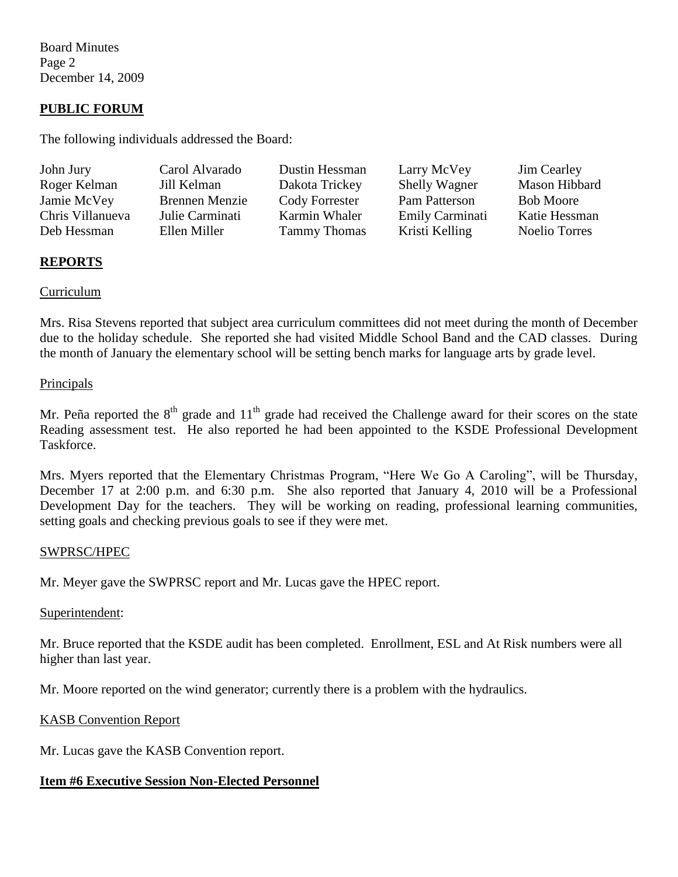Board Minutes Page 2 December 14, 2009

### **PUBLIC FORUM**

The following individuals addressed the Board:

| John Jury        | Carol Alvarado        | Dustin Hessman      | Larry McVey          | <b>Jim Cearley</b>   |
|------------------|-----------------------|---------------------|----------------------|----------------------|
| Roger Kelman     | Jill Kelman           | Dakota Trickey      | <b>Shelly Wagner</b> | Mason Hibbard        |
| Jamie McVey      | <b>Brennen Menzie</b> | Cody Forrester      | Pam Patterson        | <b>Bob Moore</b>     |
| Chris Villanueva | Julie Carminati       | Karmin Whaler       | Emily Carminati      | Katie Hessman        |
| Deb Hessman      | Ellen Miller          | <b>Tammy Thomas</b> | Kristi Kelling       | <b>Noelio Torres</b> |

### **REPORTS**

#### Curriculum

Mrs. Risa Stevens reported that subject area curriculum committees did not meet during the month of December due to the holiday schedule. She reported she had visited Middle School Band and the CAD classes. During the month of January the elementary school will be setting bench marks for language arts by grade level.

#### Principals

Mr. Peña reported the  $8<sup>th</sup>$  grade and  $11<sup>th</sup>$  grade had received the Challenge award for their scores on the state Reading assessment test. He also reported he had been appointed to the KSDE Professional Development Taskforce.

Mrs. Myers reported that the Elementary Christmas Program, "Here We Go A Caroling", will be Thursday, December 17 at 2:00 p.m. and 6:30 p.m. She also reported that January 4, 2010 will be a Professional Development Day for the teachers. They will be working on reading, professional learning communities, setting goals and checking previous goals to see if they were met.

#### SWPRSC/HPEC

Mr. Meyer gave the SWPRSC report and Mr. Lucas gave the HPEC report.

#### Superintendent:

Mr. Bruce reported that the KSDE audit has been completed. Enrollment, ESL and At Risk numbers were all higher than last year.

Mr. Moore reported on the wind generator; currently there is a problem with the hydraulics.

#### KASB Convention Report

Mr. Lucas gave the KASB Convention report.

### **Item #6 Executive Session Non-Elected Personnel**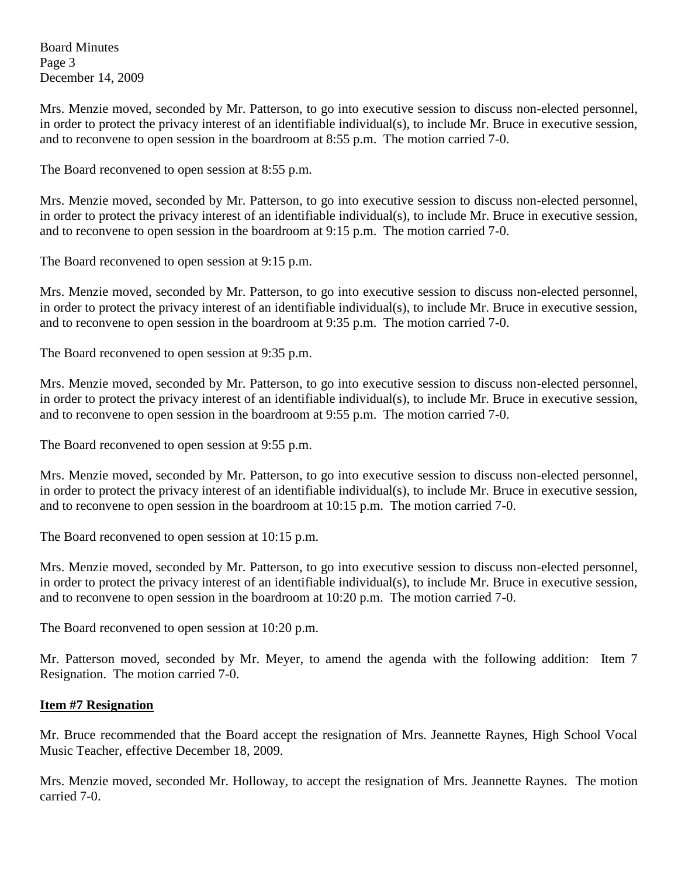Board Minutes Page 3 December 14, 2009

Mrs. Menzie moved, seconded by Mr. Patterson, to go into executive session to discuss non-elected personnel, in order to protect the privacy interest of an identifiable individual(s), to include Mr. Bruce in executive session, and to reconvene to open session in the boardroom at 8:55 p.m. The motion carried 7-0.

The Board reconvened to open session at 8:55 p.m.

Mrs. Menzie moved, seconded by Mr. Patterson, to go into executive session to discuss non-elected personnel, in order to protect the privacy interest of an identifiable individual(s), to include Mr. Bruce in executive session, and to reconvene to open session in the boardroom at 9:15 p.m. The motion carried 7-0.

The Board reconvened to open session at 9:15 p.m.

Mrs. Menzie moved, seconded by Mr. Patterson, to go into executive session to discuss non-elected personnel, in order to protect the privacy interest of an identifiable individual(s), to include Mr. Bruce in executive session, and to reconvene to open session in the boardroom at 9:35 p.m. The motion carried 7-0.

The Board reconvened to open session at 9:35 p.m.

Mrs. Menzie moved, seconded by Mr. Patterson, to go into executive session to discuss non-elected personnel, in order to protect the privacy interest of an identifiable individual(s), to include Mr. Bruce in executive session, and to reconvene to open session in the boardroom at 9:55 p.m. The motion carried 7-0.

The Board reconvened to open session at 9:55 p.m.

Mrs. Menzie moved, seconded by Mr. Patterson, to go into executive session to discuss non-elected personnel, in order to protect the privacy interest of an identifiable individual(s), to include Mr. Bruce in executive session, and to reconvene to open session in the boardroom at 10:15 p.m. The motion carried 7-0.

The Board reconvened to open session at 10:15 p.m.

Mrs. Menzie moved, seconded by Mr. Patterson, to go into executive session to discuss non-elected personnel, in order to protect the privacy interest of an identifiable individual(s), to include Mr. Bruce in executive session, and to reconvene to open session in the boardroom at 10:20 p.m. The motion carried 7-0.

The Board reconvened to open session at 10:20 p.m.

Mr. Patterson moved, seconded by Mr. Meyer, to amend the agenda with the following addition: Item 7 Resignation. The motion carried 7-0.

### **Item #7 Resignation**

Mr. Bruce recommended that the Board accept the resignation of Mrs. Jeannette Raynes, High School Vocal Music Teacher, effective December 18, 2009.

Mrs. Menzie moved, seconded Mr. Holloway, to accept the resignation of Mrs. Jeannette Raynes. The motion carried 7-0.